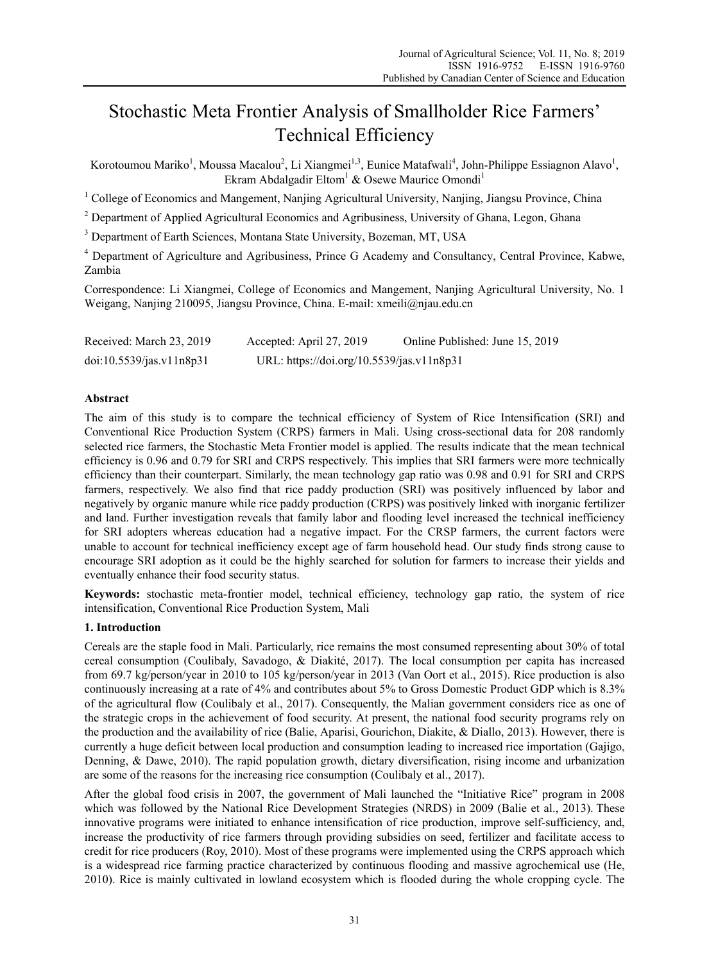# Stochastic Meta Frontier Analysis of Smallholder Rice Farmers' Technical Efficiency

Korotoumou Mariko<sup>1</sup>, Moussa Macalou<sup>2</sup>, Li Xiangmei<sup>1,3</sup>, Eunice Matafwali<sup>4</sup>, John-Philippe Essiagnon Alavo<sup>1</sup>, Ekram Abdalgadir Eltom<sup>1</sup> & Osewe Maurice Omondi<sup>1</sup>

<sup>1</sup> College of Economics and Mangement, Nanjing Agricultural University, Nanjing, Jiangsu Province, China

<sup>2</sup> Department of Applied Agricultural Economics and Agribusiness, University of Ghana, Legon, Ghana

<sup>3</sup> Department of Earth Sciences, Montana State University, Bozeman, MT, USA

<sup>4</sup> Department of Agriculture and Agribusiness, Prince G Academy and Consultancy, Central Province, Kabwe, Zambia

Correspondence: Li Xiangmei, College of Economics and Mangement, Nanjing Agricultural University, No. 1 Weigang, Nanjing 210095, Jiangsu Province, China. E-mail: xmeili@njau.edu.cn

| Received: March 23, 2019 | Accepted: April 27, 2019                  | Online Published: June 15, 2019 |
|--------------------------|-------------------------------------------|---------------------------------|
| doi:10.5539/jas.v11n8p31 | URL: https://doi.org/10.5539/jas.v11n8p31 |                                 |

## **Abstract**

The aim of this study is to compare the technical efficiency of System of Rice Intensification (SRI) and Conventional Rice Production System (CRPS) farmers in Mali. Using cross-sectional data for 208 randomly selected rice farmers, the Stochastic Meta Frontier model is applied. The results indicate that the mean technical efficiency is 0.96 and 0.79 for SRI and CRPS respectively. This implies that SRI farmers were more technically efficiency than their counterpart. Similarly, the mean technology gap ratio was 0.98 and 0.91 for SRI and CRPS farmers, respectively. We also find that rice paddy production (SRI) was positively influenced by labor and negatively by organic manure while rice paddy production (CRPS) was positively linked with inorganic fertilizer and land. Further investigation reveals that family labor and flooding level increased the technical inefficiency for SRI adopters whereas education had a negative impact. For the CRSP farmers, the current factors were unable to account for technical inefficiency except age of farm household head. Our study finds strong cause to encourage SRI adoption as it could be the highly searched for solution for farmers to increase their yields and eventually enhance their food security status.

**Keywords:** stochastic meta-frontier model, technical efficiency, technology gap ratio, the system of rice intensification, Conventional Rice Production System, Mali

## **1. Introduction**

Cereals are the staple food in Mali. Particularly, rice remains the most consumed representing about 30% of total cereal consumption (Coulibaly, Savadogo, & Diakité, 2017). The local consumption per capita has increased from 69.7 kg/person/year in 2010 to 105 kg/person/year in 2013 (Van Oort et al., 2015). Rice production is also continuously increasing at a rate of 4% and contributes about 5% to Gross Domestic Product GDP which is 8.3% of the agricultural flow (Coulibaly et al., 2017) . Consequently, the Malian government considers rice as one of the strategic crops in the achievement of food security. At present, the national food security programs rely on the production and the availability of rice (Balie, Aparisi, Gourichon, Diakite, & Diallo, 2013). However, there is currently a huge deficit between local production and consumption leading to increased rice importation (Gajigo, Denning, & Dawe, 2010). The rapid population growth, dietary diversification, rising income and urbanization are some of the reasons for the increasing rice consumption (Coulibaly et al., 2017).

After the global food crisis in 2007, the government of Mali launched the "Initiative Rice" program in 2008 which was followed by the National Rice Development Strategies (NRDS) in 2009 (Balie et al., 2013). These innovative programs were initiated to enhance intensification of rice production, improve self-sufficiency, and, increase the productivity of rice farmers through providing subsidies on seed, fertilizer and facilitate access to credit for rice producers (Roy, 2010). Most of these programs were implemented using the CRPS approach which is a widespread rice farming practice characterized by continuous flooding and massive agrochemical use (He, 2010). Rice is mainly cultivated in lowland ecosystem which is flooded during the whole cropping cycle. The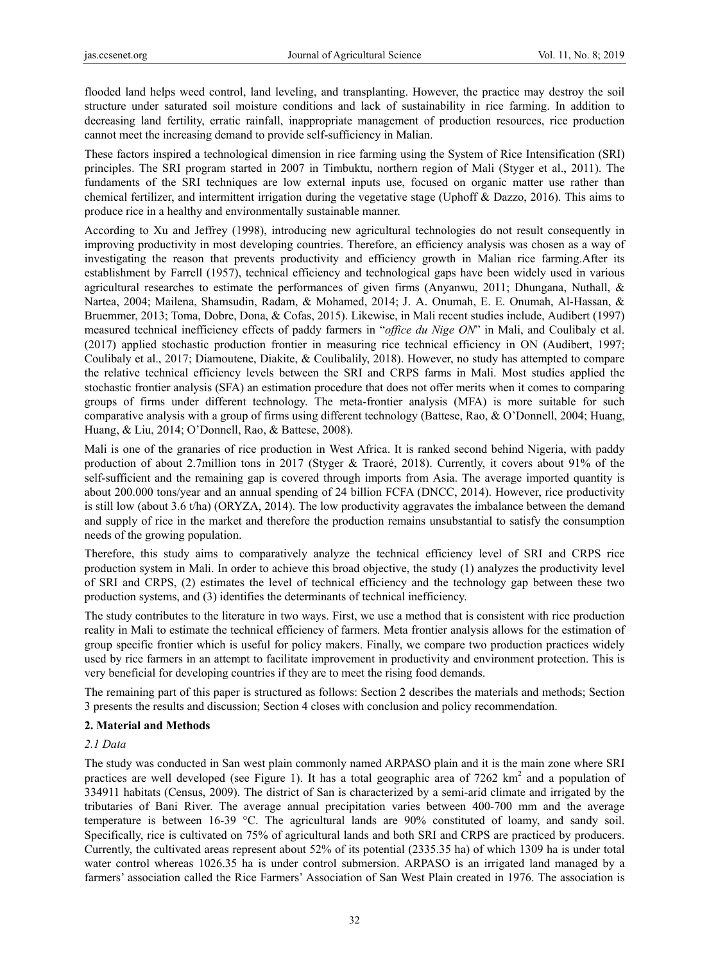flooded land helps weed control, land leveling, and transplanting. However, the practice may destroy the soil structure under saturated soil moisture conditions and lack of sustainability in rice farming. In addition to decreasing land fertility, erratic rainfall, inappropriate management of production resources, rice production cannot meet the increasing demand to provide self-sufficiency in Malian.

These factors inspired a technological dimension in rice farming using the System of Rice Intensification (SRI) principles. The SRI program started in 2007 in Timbuktu, northern region of Mali (Styger et al., 2011). The fundaments of the SRI techniques are low external inputs use, focused on organic matter use rather than chemical fertilizer, and intermittent irrigation during the vegetative stage (Uphoff & Dazzo, 2016). This aims to produce rice in a healthy and environmentally sustainable manner.

According to Xu and Jeffrey (1998), introducing new agricultural technologies do not result consequently in improving productivity in most developing countries. Therefore, an efficiency analysis was chosen as a way of investigating the reason that prevents productivity and efficiency growth in Malian rice farming.After its establishment by Farrell (1957), technical efficiency and technological gaps have been widely used in various agricultural researches to estimate the performances of given firms (Anyanwu, 2011; Dhungana, Nuthall, & Nartea, 2004; Mailena, Shamsudin, Radam, & Mohamed, 2014; J. A. Onumah, E. E. Onumah, Al-Hassan, & Bruemmer, 2013; Toma, Dobre, Dona, & Cofas, 2015). Likewise, in Mali recent studies include, Audibert (1997) measured technical inefficiency effects of paddy farmers in "*office du Nige ON*" in Mali, and Coulibaly et al. (2017) applied stochastic production frontier in measuring rice technical efficiency in ON (Audibert, 1997; Coulibaly et al., 2017; Diamoutene, Diakite, & Coulibalily, 2018). However, no study has attempted to compare the relative technical efficiency levels between the SRI and CRPS farms in Mali. Most studies applied the stochastic frontier analysis (SFA) an estimation procedure that does not offer merits when it comes to comparing groups of firms under different technology. The meta-frontier analysis (MFA) is more suitable for such comparative analysis with a group of firms using different technology (Battese, Rao, & O'Donnell, 2004; Huang, Huang, & Liu, 2014; O'Donnell, Rao, & Battese, 2008).

Mali is one of the granaries of rice production in West Africa. It is ranked second behind Nigeria, with paddy production of about 2.7million tons in 2017 (Styger & Traoré, 2018). Currently, it covers about 91% of the self-sufficient and the remaining gap is covered through imports from Asia. The average imported quantity is about 200.000 tons/year and an annual spending of 24 billion FCFA (DNCC, 2014). However, rice productivity is still low (about 3.6 t/ha) (ORYZA, 2014). The low productivity aggravates the imbalance between the demand and supply of rice in the market and therefore the production remains unsubstantial to satisfy the consumption needs of the growing population.

Therefore, this study aims to comparatively analyze the technical efficiency level of SRI and CRPS rice production system in Mali. In order to achieve this broad objective, the study (1) analyzes the productivity level of SRI and CRPS, (2) estimates the level of technical efficiency and the technology gap between these two production systems, and (3) identifies the determinants of technical inefficiency.

The study contributes to the literature in two ways. First, we use a method that is consistent with rice production reality in Mali to estimate the technical efficiency of farmers. Meta frontier analysis allows for the estimation of group specific frontier which is useful for policy makers. Finally, we compare two production practices widely used by rice farmers in an attempt to facilitate improvement in productivity and environment protection. This is very beneficial for developing countries if they are to meet the rising food demands.

The remaining part of this paper is structured as follows: Section 2 describes the materials and methods; Section 3 presents the results and discussion; Section 4 closes with conclusion and policy recommendation.

# **2. Material and Methods**

## *2.1 Data*

The study was conducted in San west plain commonly named ARPASO plain and it is the main zone where SRI practices are well developed (see Figure 1). It has a total geographic area of  $7262 \text{ km}^2$  and a population of 334911 habitats (Census, 2009). The district of San is characterized by a semi-arid climate and irrigated by the tributaries of Bani River. The average annual precipitation varies between 400-700 mm and the average temperature is between 16-39 °C. The agricultural lands are 90% constituted of loamy, and sandy soil. Specifically, rice is cultivated on 75% of agricultural lands and both SRI and CRPS are practiced by producers. Currently, the cultivated areas represent about 52% of its potential (2335.35 ha) of which 1309 ha is under total water control whereas 1026.35 ha is under control submersion. ARPASO is an irrigated land managed by a farmers' association called the Rice Farmers' Association of San West Plain created in 1976. The association is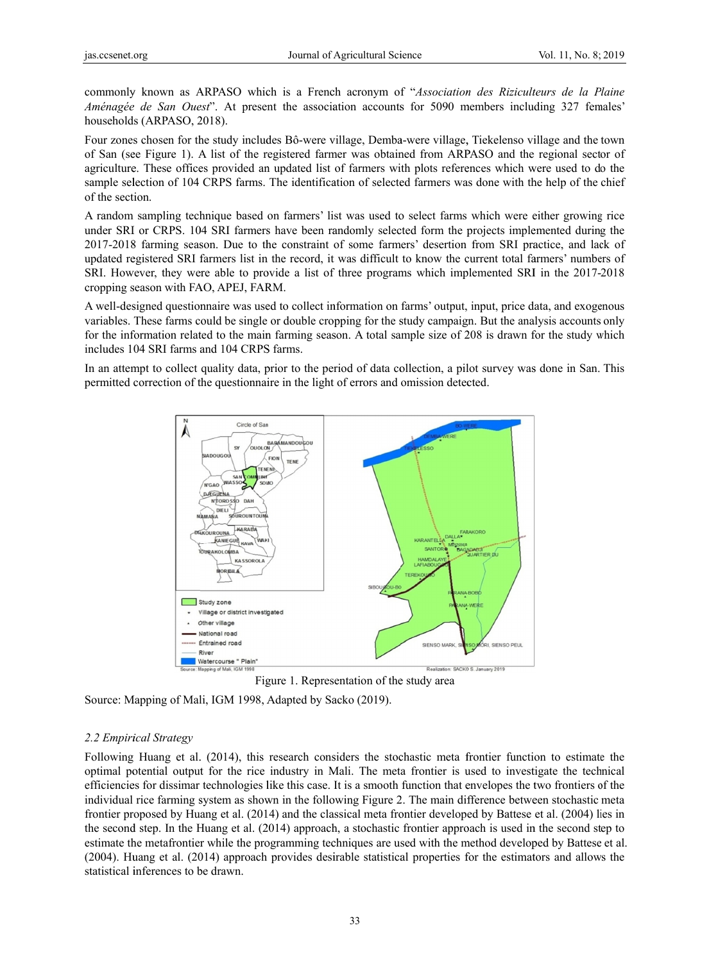commonly known as ARPASO which is a French acronym of "*Association des Riziculteurs de la Plaine Aménagée de San Ouest*". At present the association accounts for 5090 members including 327 females' households (ARPASO, 2018).

Four zones chosen for the study includes Bô-were village, Demba-were village, Tiekelenso village and the town of San (see Figure 1). A list of the registered farmer was obtained from ARPASO and the regional sector of agriculture. These offices provided an updated list of farmers with plots references which were used to do the sample selection of 104 CRPS farms. The identification of selected farmers was done with the help of the chief of the section.

A random sampling technique based on farmers' list was used to select farms which were either growing rice under SRI or CRPS. 104 SRI farmers have been randomly selected form the projects implemented during the 2017-2018 farming season. Due to the constraint of some farmers' desertion from SRI practice, and lack of updated registered SRI farmers list in the record, it was difficult to know the current total farmers' numbers of SRI. However, they were able to provide a list of three programs which implemented SRI in the 2017-2018 cropping season with FAO, APEJ, FARM.

A well-designed questionnaire was used to collect information on farms' output, input, price data, and exogenous variables. These farms could be single or double cropping for the study campaign. But the analysis accounts only for the information related to the main farming season. A total sample size of 208 is drawn for the study which includes 104 SRI farms and 104 CRPS farms.

In an attempt to collect quality data, prior to the period of data collection, a pilot survey was done in San. This permitted correction of the questionnaire in the light of errors and omission detected.



Figure 1. Representation of the study area

Source: Mapping of Mali, IGM 1998, Adapted by Sacko (2019).

#### *2.2 Empiri ical Strategy*

Following Huang et al. (2014), this research considers the stochastic meta frontier function to estimate the optimal potential output for the rice industry in Mali. The meta frontier is used to investigate the technical efficiencies for dissimar technologies like this case. It is a smooth function that envelopes the two frontiers of the individual rice farming system as shown in the following Figure 2. The main difference between stochastic meta frontier proposed by Huang et al. (2014) and the classical meta frontier developed by Battese et al. (2004) lies in the second step. In the Huang et al. (2014) approach, a stochastic frontier approach is used in the second step to estimate the metafrontier while the programming techniques are used with the method developed by Battese et al. (2004). Huang et al. (2014) approach provides desirable statistical properties for the estimators and allows the statistical inferences to be drawn.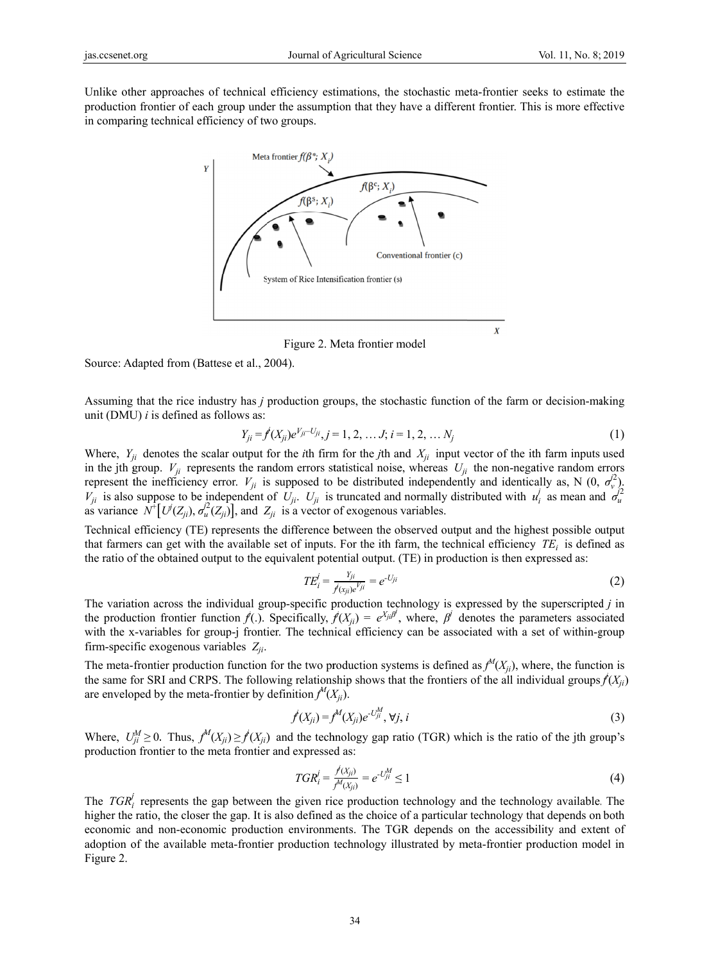Unlike other approaches of technical efficiency estimations, the stochastic meta-frontier seeks to estimate the production frontier of each group under the assumption that they have a different frontier. This is more effective in comparing technical efficiency of two groups.



Figure 2. M Meta frontier m model

Source: Adapted from (Battese et al., 2004).

Assuming that the rice industry has *j* production groups, the stochastic function of the farm or decision-making unit (DMU)  $i$  is defined as follows as:

$$
Y_{ji} = f(X_{ji})e^{V_{ji} - U_{ji}}, j = 1, 2, ..., J; i = 1, 2, ..., N_j
$$
\n(1)

Where,  $Y_{ji}$  denotes the scalar output for the *i*th firm for the *j*th and  $X_{ji}$  input vector of the *i*th farm inputs used in the jth group.  $V_{ji}$  represents the random errors statistical noise, whereas  $U_{ji}$  the non-negative random errors represent t  $V_{ji}$  is also as variance  $N^+ [U^j(Z_{ji}), \sigma_u^j(Z_{ji})]$ , and  $Z_{ji}$  is a vector of exogenous variables. the inefficienc suppose to be cy error. *Vji* is e independent s supposed to of *Uji*. *Uji* is be distributed truncated and d independentl d normally dist ly and identic tributed with *u* ally as, N (0,  $u_i^j$  as mean an  $\sigma_v^{j2}$ ). d  $\sigma_u^{\hat{j}2}$ 

Technical efficiency (TE) represents the difference between the observed output and the highest possible output that farmers can get with the available set of inputs. For the ith farm, the technical efficiency  $TE_i$  is defined as the ratio of the obtained output to the equivalent potential output. (TE) in production is then expressed as:

$$
TE_i^j = \frac{Y_{ji}}{j(x_{ji})e^{Y_{ji}}} = e^{-U_{ji}} \tag{2}
$$

The variation across the individual group-specific production technology is expressed by the superscripted *j* in the production frontier function  $\hat{f}(.)$ . Specifically,  $\hat{f}(X_{ji}) = e^{X_{ji}\hat{\beta}}$ , where,  $\hat{\beta}^j$  denotes the parameters associated with the x-variables for group-j frontier. The technical efficiency can be associated with a set of within-group firm-specific exogenous variables  $Z_{ji}$ .

The meta-frontier production function for the two production systems is defined as  $f^M(X_{ji})$ , where, the function is the same for SRI and CRPS. The following relationship shows that the frontiers of the all individual groups  $\hat{f}(X_{ji})$ are enveloped by the meta-frontier by definition  $f^M(X_{ji})$ .

$$
f'(X_{ji}) = f^{M}(X_{ji})e^{-U_{ji}^{M}}, \forall j, i
$$
\n(3)

Where, *Uj* production  $U_{ji}^M \geq 0$ . Thus, *f* n frontier to the *M*<sup>*(X<sub>ji</sub>)* ≥ *f*<sup>*(X<sub>ji</sub>)*</sub></sup></sup> e meta frontier ) and the tech r and expresse hnology gap ra d as: atio (TGR) which is the ratio of the jth group's

$$
TGR_i^j = \frac{f(X_{ji})}{f^M(X_{ji})} = e^{-U_{ji}^M} \le 1
$$
\n(4)

The  $TGR_i^j$  represents the gap between the given rice production technology and the technology available. The higher the ratio, the closer the gap. It is also defined as the choice of a particular technology that depends on both economic and non-economic production environments. The TGR depends on the accessibility and extent of adoption of the available meta-frontier production technology illustrated by meta-frontier production model in Figure 2.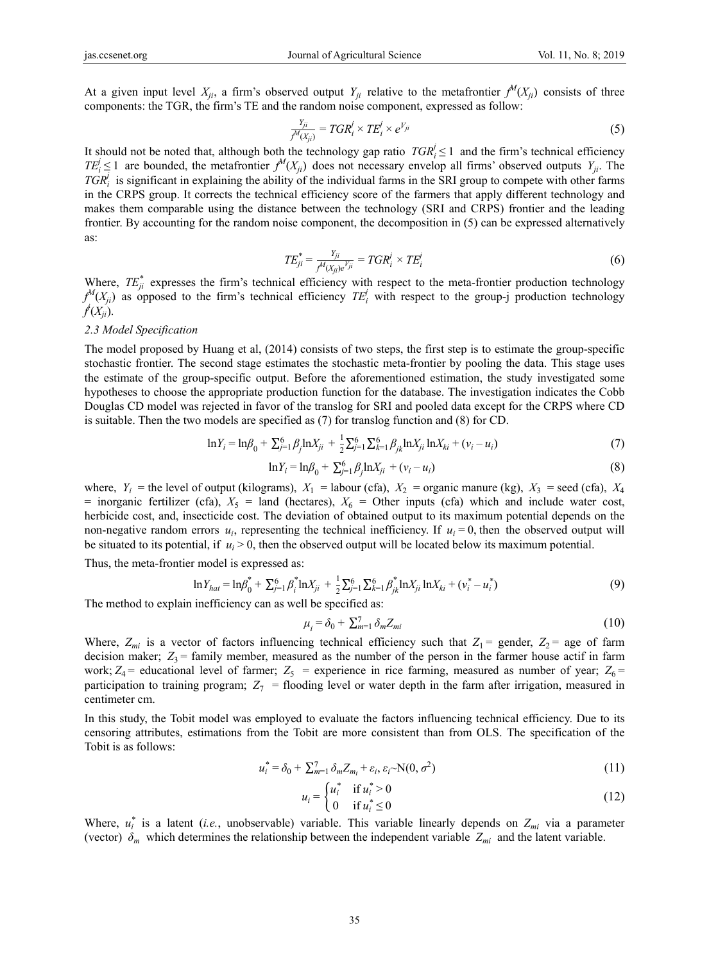At a given input level  $X_{ji}$ , a firm's observed output  $Y_{ji}$  relative to the metafrontier  $f^M(X_{ji})$  consists of three components: the TGR, the firm's TE and the random noise component, expressed as follow:

$$
\frac{Y_{ji}}{f^M(X_{ji})} = TGR_i^j \times TE_i^j \times e^{Y_{ji}}
$$
\n(5)

It should not be noted that, although both the technology gap ratio  $TGR_i^j \leq 1$  and the firm's technical efficiency  $TE_i^j \leq 1$  are bounded, the metafrontier  $f^M(X_{ji})$  does not necessary envelop all firms' observed outputs  $Y_{ji}$ . The  $TGR_i$  is significant in explaining the ability of the individual farms in the SRI group to compete with other farms in the CRPS group. It corrects the technical efficiency score of the farmers that apply different technology and makes them comparable using the distance between the technology (SRI and CRPS) frontier and the leading frontier. By accounting for the random noise component, the decomposition in (5) can be expressed alternatively as:

$$
TE_{ji}^* = \frac{Y_{ji}}{f^M(X_{ji})e^{V_{ji}}} = TGR_i^j \times TE_i^j \tag{6}
$$

Where,  $TE_{ji}^*$  expresses the firm's technical efficiency with respect to the meta-frontier production technology  $f^M(X_{ji})$  as opposed to the firm's technical efficiency  $TE_i^j$  with respect to the group-j production technology  $f(X_{ji})$ .

## *2.3 Model Specification*

The model proposed by Huang et al, (2014) consists of two steps, the first step is to estimate the group-specific stochastic frontier. The second stage estimates the stochastic meta-frontier by pooling the data. This stage uses the estimate of the group-specific output. Before the aforementioned estimation, the study investigated some hypotheses to choose the appropriate production function for the database. The investigation indicates the Cobb Douglas CD model was rejected in favor of the translog for SRI and pooled data except for the CRPS where CD is suitable. Then the two models are specified as (7) for translog function and (8) for CD.

$$
\ln Y_i = \ln \beta_0 + \sum_{j=1}^{6} \beta_j \ln X_{ji} + \frac{1}{2} \sum_{j=1}^{6} \sum_{k=1}^{6} \beta_{jk} \ln X_{ji} \ln X_{ki} + (v_i - u_i)
$$
(7)

$$
\ln Y_i = \ln \beta_0 + \sum_{j=1}^{6} \beta_j \ln X_{ji} + (v_i - u_i)
$$
\n(8)

where,  $Y_i$  = the level of output (kilograms),  $X_1$  = labour (cfa),  $X_2$  = organic manure (kg),  $X_3$  = seed (cfa),  $X_4$ = inorganic fertilizer (cfa),  $X_5$  = land (hectares),  $X_6$  = Other inputs (cfa) which and include water cost, herbicide cost, and, insecticide cost. The deviation of obtained output to its maximum potential depends on the non-negative random errors  $u_i$ , representing the technical inefficiency. If  $u_i = 0$ , then the observed output will be situated to its potential, if  $u_i > 0$ , then the observed output will be located below its maximum potential.

Thus, the meta-frontier model is expressed as:

$$
\ln Y_{hat} = \ln \beta_0^* + \sum_{j=1}^6 \beta_i^* \ln X_{ji} + \frac{1}{2} \sum_{j=1}^6 \sum_{k=1}^6 \beta_{jk}^* \ln X_{ji} \ln X_{ki} + (v_i^* - u_i^*)
$$
(9)

The method to explain inefficiency can as well be specified as:

$$
\mu_i = \delta_0 + \sum_{m=1}^{7} \delta_m Z_{mi} \tag{10}
$$

Where,  $Z_{mi}$  is a vector of factors influencing technical efficiency such that  $Z_1$  = gender,  $Z_2$  = age of farm decision maker;  $Z_3$  = family member, measured as the number of the person in the farmer house actif in farm work;  $Z_4$  = educational level of farmer;  $Z_5$  = experience in rice farming, measured as number of year;  $Z_6$  = participation to training program;  $Z_7$  = flooding level or water depth in the farm after irrigation, measured in centimeter cm.

In this study, the Tobit model was employed to evaluate the factors influencing technical efficiency. Due to its censoring attributes, estimations from the Tobit are more consistent than from OLS. The specification of the Tobit is as follows:

$$
u_i^* = \delta_0 + \sum_{m=1}^7 \delta_m Z_{m_i} + \varepsilon_i, \varepsilon_i \sim N(0, \sigma^2)
$$
\n(11)

$$
u_i = \begin{cases} u_i^* & \text{if } u_i^* > 0 \\ 0 & \text{if } u_i^* \le 0 \end{cases} \tag{12}
$$

Where,  $u_i^*$  is a latent (*i.e.*, unobservable) variable. This variable linearly depends on  $Z_{mi}$  via a parameter (vector)  $\delta_m$  which determines the relationship between the independent variable  $Z_{mi}$  and the latent variable.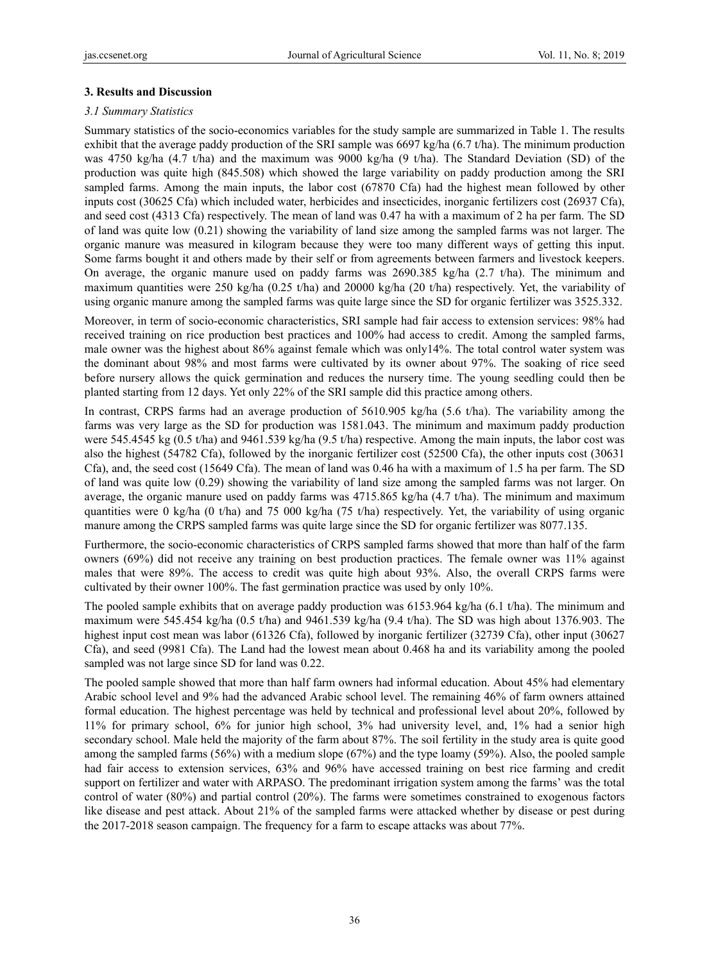## **3. Results and Discussion**

## *3.1 Summary Statistics*

Summary statistics of the socio-economics variables for the study sample are summarized in Table 1. The results exhibit that the average paddy production of the SRI sample was 6697 kg/ha (6.7 t/ha). The minimum production was 4750 kg/ha (4.7 t/ha) and the maximum was 9000 kg/ha (9 t/ha). The Standard Deviation (SD) of the production was quite high (845.508) which showed the large variability on paddy production among the SRI sampled farms. Among the main inputs, the labor cost (67870 Cfa) had the highest mean followed by other inputs cost (30625 Cfa) which included water, herbicides and insecticides, inorganic fertilizers cost (26937 Cfa), and seed cost (4313 Cfa) respectively. The mean of land was 0.47 ha with a maximum of 2 ha per farm. The SD of land was quite low (0.21) showing the variability of land size among the sampled farms was not larger. The organic manure was measured in kilogram because they were too many different ways of getting this input. Some farms bought it and others made by their self or from agreements between farmers and livestock keepers. On average, the organic manure used on paddy farms was 2690.385 kg/ha (2.7 t/ha). The minimum and maximum quantities were 250 kg/ha (0.25 t/ha) and 20000 kg/ha (20 t/ha) respectively. Yet, the variability of using organic manure among the sampled farms was quite large since the SD for organic fertilizer was 3525.332.

Moreover, in term of socio-economic characteristics, SRI sample had fair access to extension services: 98% had received training on rice production best practices and 100% had access to credit. Among the sampled farms, male owner was the highest about 86% against female which was only14%. The total control water system was the dominant about 98% and most farms were cultivated by its owner about 97%. The soaking of rice seed before nursery allows the quick germination and reduces the nursery time. The young seedling could then be planted starting from 12 days. Yet only 22% of the SRI sample did this practice among others.

In contrast, CRPS farms had an average production of 5610.905 kg/ha (5.6 t/ha). The variability among the farms was very large as the SD for production was 1581.043. The minimum and maximum paddy production were 545.4545 kg (0.5 t/ha) and 9461.539 kg/ha (9.5 t/ha) respective. Among the main inputs, the labor cost was also the highest (54782 Cfa), followed by the inorganic fertilizer cost (52500 Cfa), the other inputs cost (30631 Cfa), and, the seed cost (15649 Cfa). The mean of land was 0.46 ha with a maximum of 1.5 ha per farm. The SD of land was quite low (0.29) showing the variability of land size among the sampled farms was not larger. On average, the organic manure used on paddy farms was  $4715.865 \text{ kg/ha}$  (4.7 t/ha). The minimum and maximum quantities were 0 kg/ha (0 t/ha) and 75 000 kg/ha (75 t/ha) respectively. Yet, the variability of using organic manure among the CRPS sampled farms was quite large since the SD for organic fertilizer was 8077.135.

Furthermore, the socio-economic characteristics of CRPS sampled farms showed that more than half of the farm owners (69%) did not receive any training on best production practices. The female owner was 11% against males that were 89%. The access to credit was quite high about 93%. Also, the overall CRPS farms were cultivated by their owner 100%. The fast germination practice was used by only 10%.

The pooled sample exhibits that on average paddy production was 6153.964 kg/ha (6.1 t/ha). The minimum and maximum were 545.454 kg/ha (0.5 t/ha) and 9461.539 kg/ha (9.4 t/ha). The SD was high about 1376.903. The highest input cost mean was labor (61326 Cfa), followed by inorganic fertilizer (32739 Cfa), other input (30627 Cfa), and seed (9981 Cfa). The Land had the lowest mean about 0.468 ha and its variability among the pooled sampled was not large since SD for land was 0.22.

The pooled sample showed that more than half farm owners had informal education. About 45% had elementary Arabic school level and 9% had the advanced Arabic school level. The remaining 46% of farm owners attained formal education. The highest percentage was held by technical and professional level about 20%, followed by 11% for primary school, 6% for junior high school, 3% had university level, and, 1% had a senior high secondary school. Male held the majority of the farm about 87%. The soil fertility in the study area is quite good among the sampled farms (56%) with a medium slope (67%) and the type loamy (59%). Also, the pooled sample had fair access to extension services, 63% and 96% have accessed training on best rice farming and credit support on fertilizer and water with ARPASO. The predominant irrigation system among the farms' was the total control of water (80%) and partial control (20%). The farms were sometimes constrained to exogenous factors like disease and pest attack. About 21% of the sampled farms were attacked whether by disease or pest during the 2017-2018 season campaign. The frequency for a farm to escape attacks was about 77%.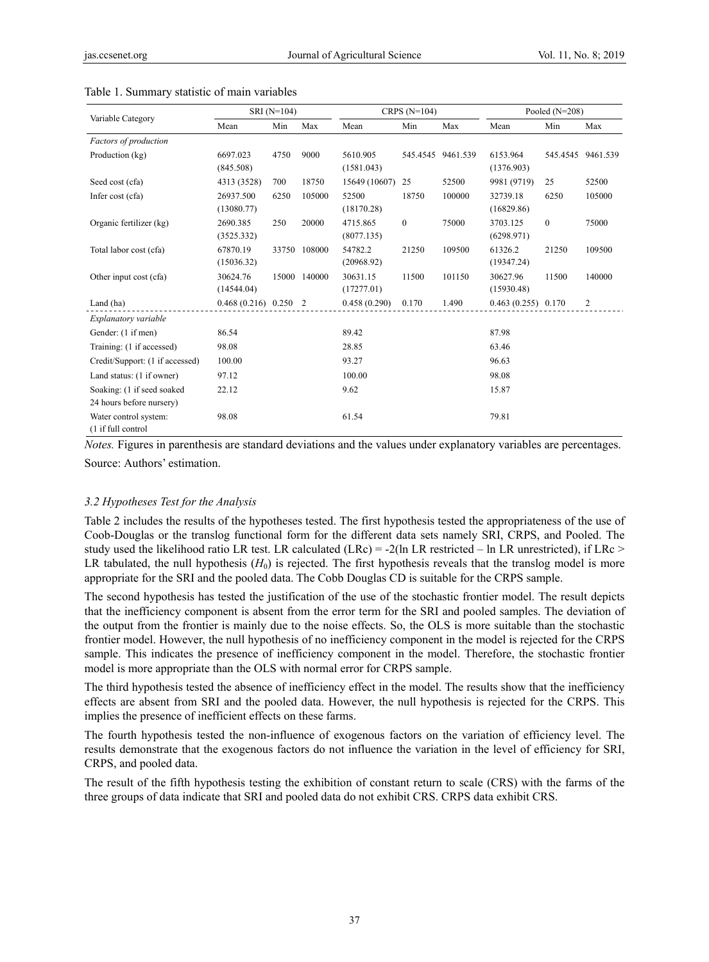|                                                        | SRI (N=104)              |      |              | CRPS $(N=104)$         |          |                   | Pooled $(N=208)$       |              |                   |
|--------------------------------------------------------|--------------------------|------|--------------|------------------------|----------|-------------------|------------------------|--------------|-------------------|
| Variable Category                                      | Mean                     | Min  | Max          | Mean                   | Min      | Max               | Mean                   | Min          | Max               |
| Factors of production                                  |                          |      |              |                        |          |                   |                        |              |                   |
| Production (kg)                                        | 6697.023<br>(845.508)    | 4750 | 9000         | 5610.905<br>(1581.043) |          | 545.4545 9461.539 | 6153.964<br>(1376.903) |              | 545.4545 9461.539 |
| Seed cost (cfa)                                        | 4313 (3528)              | 700  | 18750        | 15649 (10607)          | 25       | 52500             | 9981 (9719)            | 25           | 52500             |
| Infer cost (cfa)                                       | 26937.500<br>(13080.77)  | 6250 | 105000       | 52500<br>(18170.28)    | 18750    | 100000            | 32739.18<br>(16829.86) | 6250         | 105000            |
| Organic fertilizer (kg)                                | 2690.385<br>(3525.332)   | 250  | 20000        | 4715.865<br>(8077.135) | $\bf{0}$ | 75000             | 3703.125<br>(6298.971) | $\mathbf{0}$ | 75000             |
| Total labor cost (cfa)                                 | 67870.19<br>(15036.32)   |      | 33750 108000 | 54782.2<br>(20968.92)  | 21250    | 109500            | 61326.2<br>(19347.24)  | 21250        | 109500            |
| Other input cost (cfa)                                 | 30624.76<br>(14544.04)   |      | 15000 140000 | 30631.15<br>(17277.01) | 11500    | 101150            | 30627.96<br>(15930.48) | 11500        | 140000            |
| Land (ha)                                              | $0.468(0.216)$ $0.250$ 2 |      |              | 0.458(0.290)           | 0.170    | 1.490             | $0.463(0.255)$ 0.170   |              | 2                 |
| Explanatory variable                                   |                          |      |              |                        |          |                   |                        |              |                   |
| Gender: (1 if men)                                     | 86.54                    |      |              | 89.42                  |          |                   | 87.98                  |              |                   |
| Training: (1 if accessed)                              | 98.08                    |      |              | 28.85                  |          |                   | 63.46                  |              |                   |
| Credit/Support: (1 if accessed)                        | 100.00                   |      |              | 93.27                  |          |                   | 96.63                  |              |                   |
| Land status: (1 if owner)                              | 97.12                    |      |              | 100.00                 |          |                   | 98.08                  |              |                   |
| Soaking: (1 if seed soaked<br>24 hours before nursery) | 22.12                    |      |              | 9.62                   |          |                   | 15.87                  |              |                   |
| Water control system:<br>(1 if full control            | 98.08                    |      |              | 61.54                  |          |                   | 79.81                  |              |                   |

#### Table 1. Summary statistic of main variables

*Notes.* Figures in parenthesis are standard deviations and the values under explanatory variables are percentages.

Source: Authors' estimation.

#### *3.2 Hypotheses Test for the Analysis*

Table 2 includes the results of the hypotheses tested. The first hypothesis tested the appropriateness of the use of Coob-Douglas or the translog functional form for the different data sets namely SRI, CRPS, and Pooled. The study used the likelihood ratio LR test. LR calculated (LRc) = -2(ln LR restricted – ln LR unrestricted), if LRc > LR tabulated, the null hypothesis  $(H_0)$  is rejected. The first hypothesis reveals that the translog model is more appropriate for the SRI and the pooled data. The Cobb Douglas CD is suitable for the CRPS sample.

The second hypothesis has tested the justification of the use of the stochastic frontier model. The result depicts that the inefficiency component is absent from the error term for the SRI and pooled samples. The deviation of the output from the frontier is mainly due to the noise effects. So, the OLS is more suitable than the stochastic frontier model. However, the null hypothesis of no inefficiency component in the model is rejected for the CRPS sample. This indicates the presence of inefficiency component in the model. Therefore, the stochastic frontier model is more appropriate than the OLS with normal error for CRPS sample.

The third hypothesis tested the absence of inefficiency effect in the model. The results show that the inefficiency effects are absent from SRI and the pooled data. However, the null hypothesis is rejected for the CRPS. This implies the presence of inefficient effects on these farms.

The fourth hypothesis tested the non-influence of exogenous factors on the variation of efficiency level. The results demonstrate that the exogenous factors do not influence the variation in the level of efficiency for SRI, CRPS, and pooled data.

The result of the fifth hypothesis testing the exhibition of constant return to scale (CRS) with the farms of the three groups of data indicate that SRI and pooled data do not exhibit CRS. CRPS data exhibit CRS.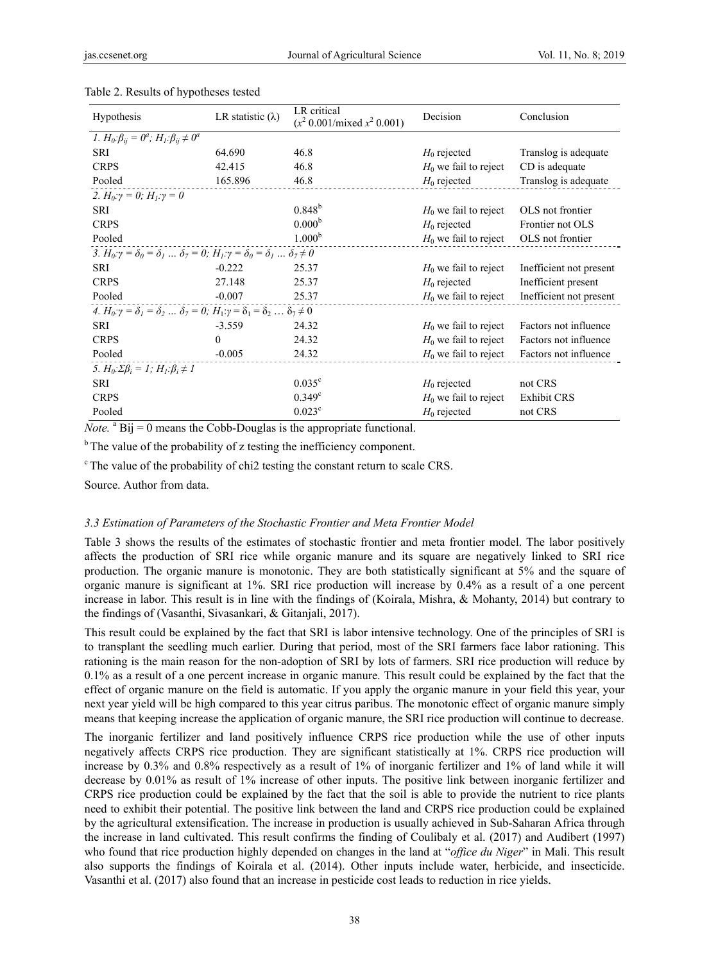| <b>Hypothesis</b>                                                                                           | LR statistic $(\lambda)$ | LR critical<br>$(x^2 0.001/mixed x^2 0.001)$ | Decision                | Conclusion              |
|-------------------------------------------------------------------------------------------------------------|--------------------------|----------------------------------------------|-------------------------|-------------------------|
| <i>1.</i> $H_0: \beta_{ij} = 0^a$ ; $H_1: \beta_{ij} \neq 0^a$                                              |                          |                                              |                         |                         |
| SRI                                                                                                         | 64.690                   | 46.8                                         | $H_0$ rejected          | Translog is adequate    |
| <b>CRPS</b>                                                                                                 | 42.415                   | 46.8                                         | $H_0$ we fail to reject | CD is adequate          |
| Pooled                                                                                                      | 165.896                  | 46.8                                         | $H_0$ rejected          | Translog is adequate    |
| 2. $H_0: \gamma = 0$ ; $H_1: \gamma = 0$                                                                    |                          |                                              |                         |                         |
| <b>SRI</b>                                                                                                  |                          | $0.848^{b}$                                  | $H_0$ we fail to reject | OLS not frontier        |
| <b>CRPS</b>                                                                                                 |                          | 0.000 <sup>b</sup>                           | $H_0$ rejected          | Frontier not OLS        |
| Pooled                                                                                                      |                          | 1.000 <sup>b</sup>                           | $H_0$ we fail to reject | OLS not frontier        |
| 3. $H_0: \gamma = \delta_0 = \delta_1  \delta_7 = 0$ ; $H_1: \gamma = \delta_0 = \delta_1  \delta_7 \neq 0$ |                          |                                              |                         |                         |
| SRI                                                                                                         | $-0.222$                 | 25.37                                        | $H_0$ we fail to reject | Inefficient not present |
| <b>CRPS</b>                                                                                                 | 27.148                   | 25.37                                        | $H_0$ rejected          | Inefficient present     |
| Pooled                                                                                                      | $-0.007$                 | 25.37                                        | $H_0$ we fail to reject | Inefficient not present |
| 4. $H_0: \gamma = \delta_1 = \delta_2  \delta_7 = 0$ ; $H_1: \gamma = \delta_1 = \delta_2  \delta_7 \neq 0$ |                          |                                              |                         |                         |
| <b>SRI</b>                                                                                                  | $-3.559$                 | 24.32                                        | $H_0$ we fail to reject | Factors not influence   |
| <b>CRPS</b>                                                                                                 | $\theta$                 | 24.32                                        | $H_0$ we fail to reject | Factors not influence   |
| Pooled                                                                                                      | $-0.005$                 | 24.32                                        | $H_0$ we fail to reject | Factors not influence   |
| 5. $H_0: \Sigma \beta_i = 1$ ; $H_1: \beta_i \neq 1$                                                        |                          |                                              |                         |                         |
| SRI                                                                                                         |                          | $0.035^{\circ}$                              | $H_0$ rejected          | not CRS                 |
| <b>CRPS</b>                                                                                                 |                          | $0.349^{\circ}$                              | $H_0$ we fail to reject | <b>Exhibit CRS</b>      |
| Pooled                                                                                                      |                          | $0.023^{\circ}$                              | $H_0$ rejected          | not CRS                 |

#### Table 2. Results of hypotheses tested

*Note.*  $^{\text{a}}$  Bij = 0 means the Cobb-Douglas is the appropriate functional.

 $<sup>b</sup>$  The value of the probability of z testing the inefficiency component.</sup>

<sup>c</sup> The value of the probability of chi2 testing the constant return to scale CRS.

Source. Author from data.

#### *3.3 Estimation of Parameters of the Stochastic Frontier and Meta Frontier Model*

Table 3 shows the results of the estimates of stochastic frontier and meta frontier model. The labor positively affects the production of SRI rice while organic manure and its square are negatively linked to SRI rice production. The organic manure is monotonic. They are both statistically significant at 5% and the square of organic manure is significant at 1%. SRI rice production will increase by 0.4% as a result of a one percent increase in labor. This result is in line with the findings of (Koirala, Mishra, & Mohanty, 2014) but contrary to the findings of (Vasanthi, Sivasankari, & Gitanjali, 2017).

This result could be explained by the fact that SRI is labor intensive technology. One of the principles of SRI is to transplant the seedling much earlier. During that period, most of the SRI farmers face labor rationing. This rationing is the main reason for the non-adoption of SRI by lots of farmers. SRI rice production will reduce by 0.1% as a result of a one percent increase in organic manure. This result could be explained by the fact that the effect of organic manure on the field is automatic. If you apply the organic manure in your field this year, your next year yield will be high compared to this year citrus paribus. The monotonic effect of organic manure simply means that keeping increase the application of organic manure, the SRI rice production will continue to decrease.

The inorganic fertilizer and land positively influence CRPS rice production while the use of other inputs negatively affects CRPS rice production. They are significant statistically at 1%. CRPS rice production will increase by 0.3% and 0.8% respectively as a result of 1% of inorganic fertilizer and 1% of land while it will decrease by 0.01% as result of 1% increase of other inputs. The positive link between inorganic fertilizer and CRPS rice production could be explained by the fact that the soil is able to provide the nutrient to rice plants need to exhibit their potential. The positive link between the land and CRPS rice production could be explained by the agricultural extensification. The increase in production is usually achieved in Sub-Saharan Africa through the increase in land cultivated. This result confirms the finding of Coulibaly et al. (2017) and Audibert (1997) who found that rice production highly depended on changes in the land at "*office du Niger*" in Mali. This result also supports the findings of Koirala et al. (2014). Other inputs include water, herbicide, and insecticide. Vasanthi et al. (2017) also found that an increase in pesticide cost leads to reduction in rice yields.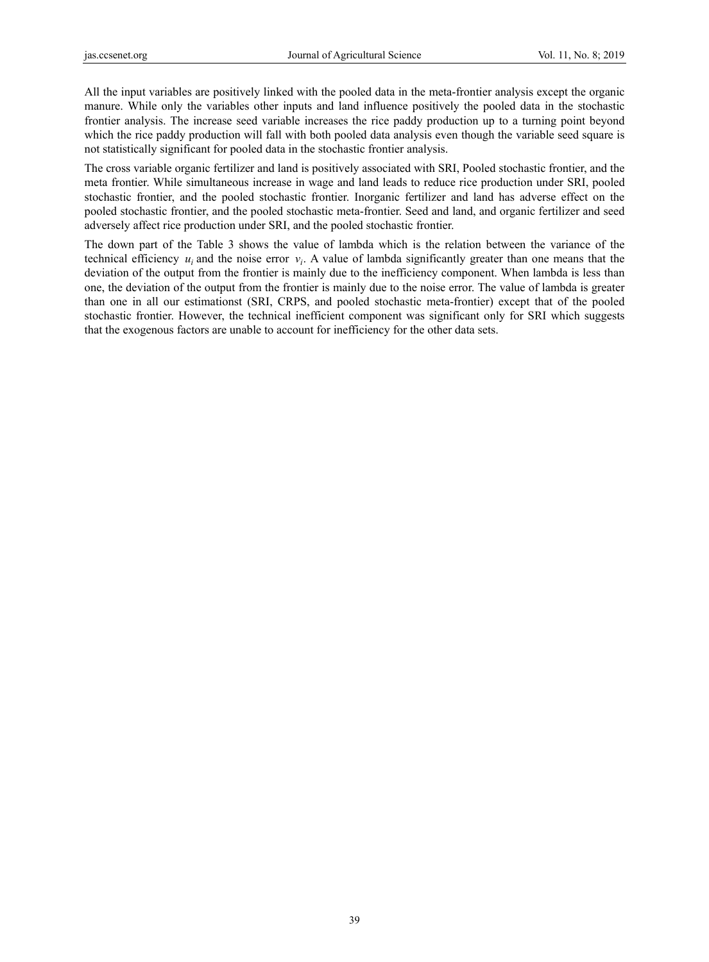All the input variables are positively linked with the pooled data in the meta-frontier analysis except the organic manure. While only the variables other inputs and land influence positively the pooled data in the stochastic frontier analysis. The increase seed variable increases the rice paddy production up to a turning point beyond which the rice paddy production will fall with both pooled data analysis even though the variable seed square is not statistically significant for pooled data in the stochastic frontier analysis.

The cross variable organic fertilizer and land is positively associated with SRI, Pooled stochastic frontier, and the meta frontier. While simultaneous increase in wage and land leads to reduce rice production under SRI, pooled stochastic frontier, and the pooled stochastic frontier. Inorganic fertilizer and land has adverse effect on the pooled stochastic frontier, and the pooled stochastic meta-frontier. Seed and land, and organic fertilizer and seed adversely affect rice production under SRI, and the pooled stochastic frontier.

The down part of the Table 3 shows the value of lambda which is the relation between the variance of the technical efficiency  $u_i$  and the noise error  $v_i$ . A value of lambda significantly greater than one means that the deviation of the output from the frontier is mainly due to the inefficiency component. When lambda is less than one, the deviation of the output from the frontier is mainly due to the noise error. The value of lambda is greater than one in all our estimationst (SRI, CRPS, and pooled stochastic meta-frontier) except that of the pooled stochastic frontier. However, the technical inefficient component was significant only for SRI which suggests that the exogenous factors are unable to account for inefficiency for the other data sets.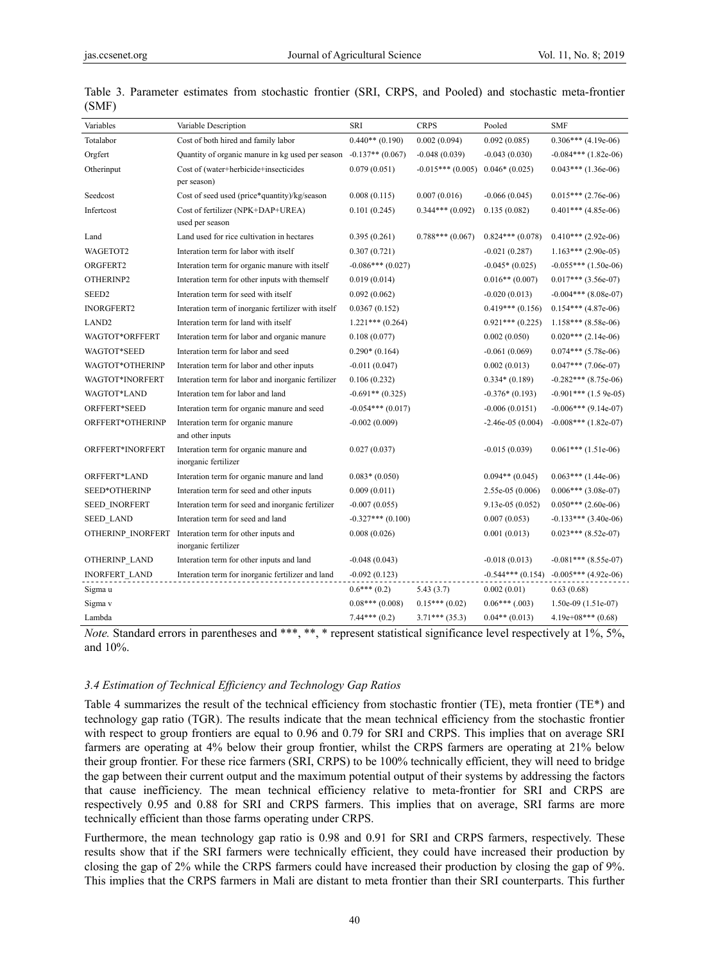| Variables            | Variable Description                                           | <b>SRI</b>         | <b>CRPS</b>        | Pooled               | <b>SMF</b>                                 |
|----------------------|----------------------------------------------------------------|--------------------|--------------------|----------------------|--------------------------------------------|
| Totalabor            | Cost of both hired and family labor                            | $0.440**$ (0.190)  | 0.002(0.094)       | 0.092(0.085)         | $0.306***$ (4.19e-06)                      |
| Orgfert              | Quantity of organic manure in kg used per season               | $-0.137**$ (0.067) | $-0.048(0.039)$    | $-0.043(0.030)$      | $-0.084***$ (1.82e-06)                     |
| Otherinput           | Cost of (water+herbicide+insecticides                          | 0.079(0.051)       | $-0.015***(0.005)$ | $0.046*(0.025)$      | $0.043***$ (1.36e-06)                      |
|                      | per season)                                                    |                    |                    |                      |                                            |
| Seedcost             | Cost of seed used (price*quantity)/kg/season                   | 0.008(0.115)       | 0.007(0.016)       | $-0.066(0.045)$      | $0.015***$ (2.76e-06)                      |
| Infertcost           | Cost of fertilizer (NPK+DAP+UREA)<br>used per season           | 0.101(0.245)       | $0.344***(0.092)$  | 0.135(0.082)         | $0.401***$ (4.85e-06)                      |
| Land                 | Land used for rice cultivation in hectares                     | 0.395(0.261)       | $0.788***(0.067)$  | $0.824***(0.078)$    | $0.410***$ (2.92e-06)                      |
| WAGETOT2             | Interation term for labor with itself                          | 0.307(0.721)       |                    | $-0.021(0.287)$      | $1.163***$ (2.90e-05)                      |
| ORGFERT2             | Interation term for organic manure with itself                 | $-0.086***(0.027)$ |                    | $-0.045*(0.025)$     | $-0.055***$ (1.50e-06)                     |
| OTHERINP2            | Interation term for other inputs with themself                 | 0.019(0.014)       |                    | $0.016**$ (0.007)    | $0.017***$ (3.56e-07)                      |
| SEED <sub>2</sub>    | Interation term for seed with itself                           | 0.092(0.062)       |                    | $-0.020(0.013)$      | $-0.004***$ (8.08e-07)                     |
| <b>INORGFERT2</b>    | Interation term of inorganic fertilizer with itself            | 0.0367(0.152)      |                    | $0.419***(0.156)$    | $0.154***$ (4.87e-06)                      |
| LAND <sub>2</sub>    | Interation term for land with itself                           | $1.221***(0.264)$  |                    | $0.921***$ $(0.225)$ | $1.158***$ (8.58e-06)                      |
| WAGTOT*ORFFERT       | Interation term for labor and organic manure                   | 0.108(0.077)       |                    | 0.002(0.050)         | $0.020***$ (2.14e-06)                      |
| WAGTOT*SEED          | Interation term for labor and seed                             | $0.290*(0.164)$    |                    | $-0.061(0.069)$      | $0.074***$ (5.78e-06)                      |
| WAGTOT*OTHERINP      | Interation term for labor and other inputs                     | $-0.011(0.047)$    |                    | 0.002(0.013)         | $0.047***$ (7.06e-07)                      |
| WAGTOT*INORFERT      | Interation term for labor and inorganic fertilizer             | 0.106(0.232)       |                    | $0.334*(0.189)$      | $-0.282***$ (8.75e-06)                     |
| WAGTOT*LAND          | Interation tem for labor and land                              | $-0.691**$ (0.325) |                    | $-0.376*(0.193)$     | $-0.901***$ (1.5 9e-05)                    |
| ORFFERT*SEED         | Interation term for organic manure and seed                    | $-0.054***(0.017)$ |                    | $-0.006(0.0151)$     | $-0.006***$ (9.14e-07)                     |
| ORFFERT*OTHERINP     | Interation term for organic manure<br>and other inputs         | $-0.002(0.009)$    |                    | $-2.46e-05(0.004)$   | $-0.008***$ (1.82e-07)                     |
| ORFFERT*INORFERT     | Interation term for organic manure and<br>inorganic fertilizer | 0.027(0.037)       |                    | $-0.015(0.039)$      | $0.061***$ (1.51e-06)                      |
| ORFFERT*LAND         | Interation term for organic manure and land                    | $0.083*(0.050)$    |                    | $0.094**$ (0.045)    | $0.063***$ (1.44e-06)                      |
| SEED*OTHERINP        | Interation term for seed and other inputs                      | 0.009(0.011)       |                    | $2.55e-05(0.006)$    | $0.006***$ (3.08e-07)                      |
| <b>SEED INORFERT</b> | Interation term for seed and inorganic fertilizer              | $-0.007(0.055)$    |                    | $9.13e-05(0.052)$    | $0.050***$ (2.60e-06)                      |
| <b>SEED LAND</b>     | Interation term for seed and land                              | $-0.327***(0.100)$ |                    | 0.007(0.053)         | $-0.133***$ (3.40e-06)                     |
| OTHERINP INORFERT    | Interation term for other inputs and<br>inorganic fertilizer   | 0.008(0.026)       |                    | 0.001(0.013)         | $0.023***$ (8.52e-07)                      |
| OTHERINP LAND        | Interation term for other inputs and land                      | $-0.048(0.043)$    |                    | $-0.018(0.013)$      | $-0.081***$ (8.55e-07)                     |
| <b>INORFERT LAND</b> | Interation term for inorganic fertilizer and land              | $-0.092(0.123)$    |                    |                      | $-0.544***$ (0.154) $-0.005***$ (4.92e-06) |
| Sigma u              |                                                                | $0.6***(0.2)$      | 5.43(3.7)          | 0.002(0.01)          | 0.63(0.68)                                 |
| Sigma v              |                                                                | $0.08***(0.008)$   | $0.15***(0.02)$    | $0.06***$ (.003)     | $1.50e-09(1.51e-07)$                       |
| Lambda               |                                                                | $7.44***(0.2)$     | $3.71***$ (35.3)   | $0.04**$ (0.013)     | $4.19e+08***$ (0.68)                       |

|       |  |  |  |  |  | Table 3. Parameter estimates from stochastic frontier (SRI, CRPS, and Pooled) and stochastic meta-frontier |
|-------|--|--|--|--|--|------------------------------------------------------------------------------------------------------------|
| (SMF) |  |  |  |  |  |                                                                                                            |

*Note.* Standard errors in parentheses and \*\*\*, \*\*, \* represent statistical significance level respectively at 1%, 5%, and 10%.

#### *3.4 Estimation of Technical Efficiency and Technology Gap Ratios*

Table 4 summarizes the result of the technical efficiency from stochastic frontier (TE), meta frontier (TE\*) and technology gap ratio (TGR). The results indicate that the mean technical efficiency from the stochastic frontier with respect to group frontiers are equal to 0.96 and 0.79 for SRI and CRPS. This implies that on average SRI farmers are operating at 4% below their group frontier, whilst the CRPS farmers are operating at 21% below their group frontier. For these rice farmers (SRI, CRPS) to be 100% technically efficient, they will need to bridge the gap between their current output and the maximum potential output of their systems by addressing the factors that cause inefficiency. The mean technical efficiency relative to meta-frontier for SRI and CRPS are respectively 0.95 and 0.88 for SRI and CRPS farmers. This implies that on average, SRI farms are more technically efficient than those farms operating under CRPS.

Furthermore, the mean technology gap ratio is 0.98 and 0.91 for SRI and CRPS farmers, respectively. These results show that if the SRI farmers were technically efficient, they could have increased their production by closing the gap of 2% while the CRPS farmers could have increased their production by closing the gap of 9%. This implies that the CRPS farmers in Mali are distant to meta frontier than their SRI counterparts. This further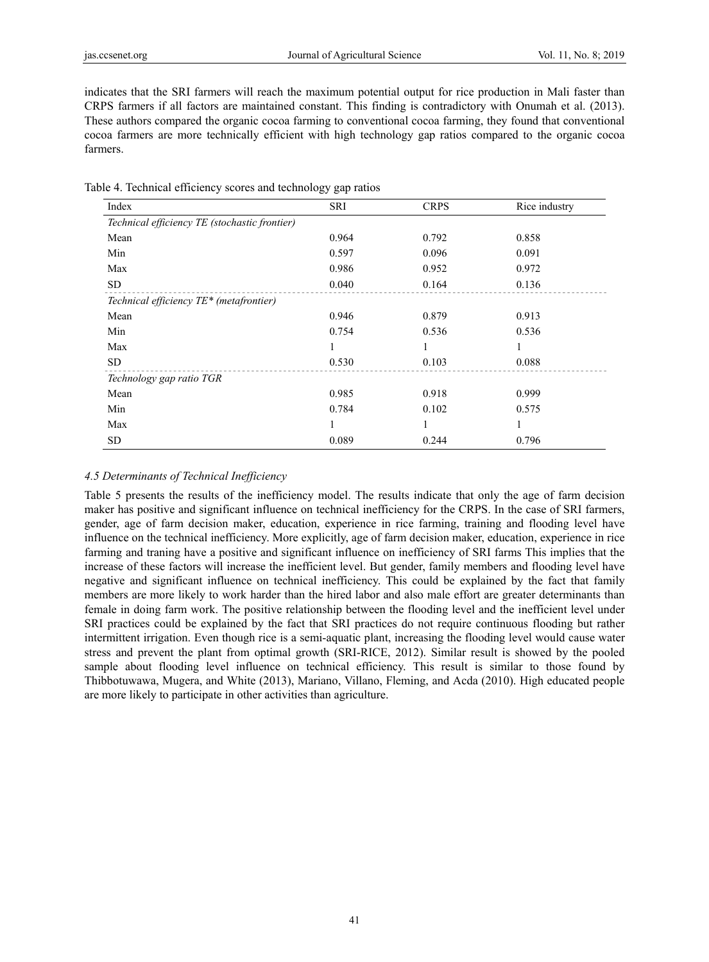indicates that the SRI farmers will reach the maximum potential output for rice production in Mali faster than CRPS farmers if all factors are maintained constant. This finding is contradictory with Onumah et al. (2013). These authors compared the organic cocoa farming to conventional cocoa farming, they found that conventional cocoa farmers are more technically efficient with high technology gap ratios compared to the organic cocoa farmers.

| Index                                         | <b>SRI</b> | <b>CRPS</b> | Rice industry |
|-----------------------------------------------|------------|-------------|---------------|
| Technical efficiency TE (stochastic frontier) |            |             |               |
| Mean                                          | 0.964      | 0.792       | 0.858         |
| Min                                           | 0.597      | 0.096       | 0.091         |
| Max                                           | 0.986      | 0.952       | 0.972         |
| SD.                                           | 0.040      | 0.164       | 0.136         |
| Technical efficiency TE* (metafrontier)       |            |             |               |
| Mean                                          | 0.946      | 0.879       | 0.913         |
| Min                                           | 0.754      | 0.536       | 0.536         |
| Max                                           |            |             |               |
| <b>SD</b>                                     | 0.530      | 0.103       | 0.088         |
| Technology gap ratio TGR                      |            |             |               |
| Mean                                          | 0.985      | 0.918       | 0.999         |
| Min                                           | 0.784      | 0.102       | 0.575         |
| Max                                           |            |             |               |
| SD                                            | 0.089      | 0.244       | 0.796         |

|  |  | Table 4. Technical efficiency scores and technology gap ratios |  |
|--|--|----------------------------------------------------------------|--|
|  |  |                                                                |  |

#### *4.5 Determinants of Technical Inefficiency*

Table 5 presents the results of the inefficiency model. The results indicate that only the age of farm decision maker has positive and significant influence on technical inefficiency for the CRPS. In the case of SRI farmers, gender, age of farm decision maker, education, experience in rice farming, training and flooding level have influence on the technical inefficiency. More explicitly, age of farm decision maker, education, experience in rice farming and traning have a positive and significant influence on inefficiency of SRI farms This implies that the increase of these factors will increase the inefficient level. But gender, family members and flooding level have negative and significant influence on technical inefficiency. This could be explained by the fact that family members are more likely to work harder than the hired labor and also male effort are greater determinants than female in doing farm work. The positive relationship between the flooding level and the inefficient level under SRI practices could be explained by the fact that SRI practices do not require continuous flooding but rather intermittent irrigation. Even though rice is a semi-aquatic plant, increasing the flooding level would cause water stress and prevent the plant from optimal growth (SRI-RICE, 2012). Similar result is showed by the pooled sample about flooding level influence on technical efficiency. This result is similar to those found by Thibbotuwawa, Mugera, and White (2013), Mariano, Villano, Fleming, and Acda (2010). High educated people are more likely to participate in other activities than agriculture.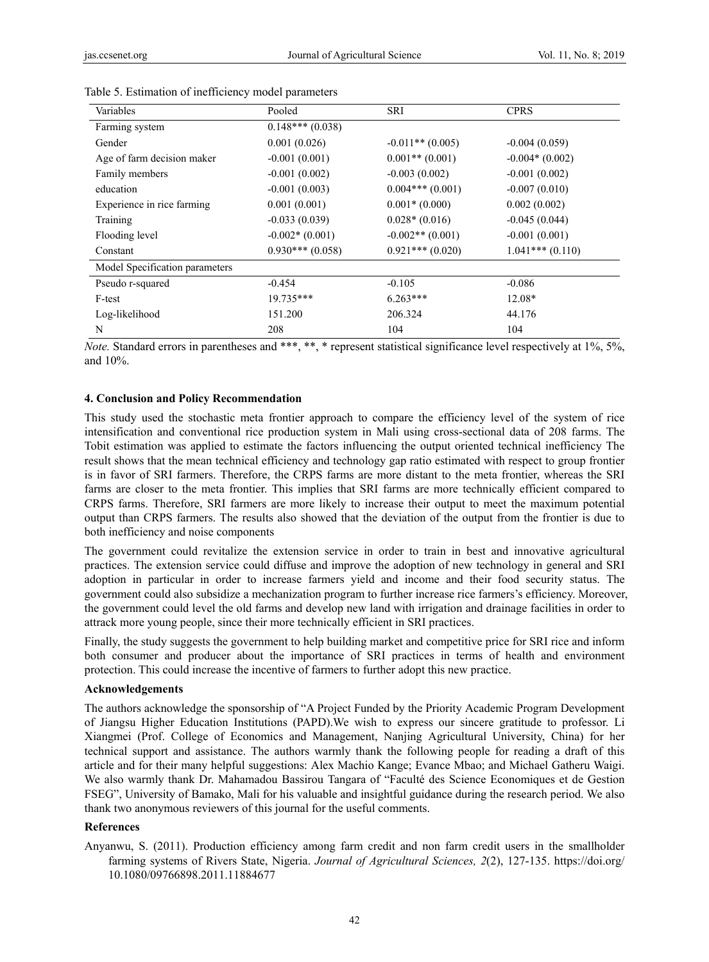| Variables                      | Pooled            | <b>SRI</b>         | <b>CPRS</b>       |
|--------------------------------|-------------------|--------------------|-------------------|
| Farming system                 | $0.148***(0.038)$ |                    |                   |
| Gender                         | 0.001(0.026)      | $-0.011**$ (0.005) | $-0.004(0.059)$   |
| Age of farm decision maker     | $-0.001(0.001)$   | $0.001**$ (0.001)  | $-0.004*(0.002)$  |
| Family members                 | $-0.001(0.002)$   | $-0.003(0.002)$    | $-0.001(0.002)$   |
| education                      | $-0.001(0.003)$   | $0.004***(0.001)$  | $-0.007(0.010)$   |
| Experience in rice farming     | 0.001(0.001)      | $0.001*(0.000)$    | 0.002(0.002)      |
| Training                       | $-0.033(0.039)$   | $0.028*(0.016)$    | $-0.045(0.044)$   |
| Flooding level                 | $-0.002*(0.001)$  | $-0.002**$ (0.001) | $-0.001(0.001)$   |
| Constant                       | $0.930***(0.058)$ | $0.921***(0.020)$  | $1.041***(0.110)$ |
| Model Specification parameters |                   |                    |                   |
| Pseudo r-squared               | $-0.454$          | $-0.105$           | $-0.086$          |
| F-test                         | $19.735***$       | $6.263***$         | 12.08*            |
| Log-likelihood                 | 151.200           | 206.324            | 44.176            |
| N                              | 208               | 104                | 104               |

Table 5. Estimation of inefficiency model parameters

*Note.* Standard errors in parentheses and \*\*\*, \*\*, \* represent statistical significance level respectively at 1%, 5%, and 10%.

## **4. Conclusion and Policy Recommendation**

This study used the stochastic meta frontier approach to compare the efficiency level of the system of rice intensification and conventional rice production system in Mali using cross-sectional data of 208 farms. The Tobit estimation was applied to estimate the factors influencing the output oriented technical inefficiency The result shows that the mean technical efficiency and technology gap ratio estimated with respect to group frontier is in favor of SRI farmers. Therefore, the CRPS farms are more distant to the meta frontier, whereas the SRI farms are closer to the meta frontier. This implies that SRI farms are more technically efficient compared to CRPS farms. Therefore, SRI farmers are more likely to increase their output to meet the maximum potential output than CRPS farmers. The results also showed that the deviation of the output from the frontier is due to both inefficiency and noise components

The government could revitalize the extension service in order to train in best and innovative agricultural practices. The extension service could diffuse and improve the adoption of new technology in general and SRI adoption in particular in order to increase farmers yield and income and their food security status. The government could also subsidize a mechanization program to further increase rice farmers's efficiency. Moreover, the government could level the old farms and develop new land with irrigation and drainage facilities in order to attrack more young people, since their more technically efficient in SRI practices.

Finally, the study suggests the government to help building market and competitive price for SRI rice and inform both consumer and producer about the importance of SRI practices in terms of health and environment protection. This could increase the incentive of farmers to further adopt this new practice.

#### **Acknowledgements**

The authors acknowledge the sponsorship of "A Project Funded by the Priority Academic Program Development of Jiangsu Higher Education Institutions (PAPD).We wish to express our sincere gratitude to professor. Li Xiangmei (Prof. College of Economics and Management, Nanjing Agricultural University, China) for her technical support and assistance. The authors warmly thank the following people for reading a draft of this article and for their many helpful suggestions: Alex Machio Kange; Evance Mbao; and Michael Gatheru Waigi. We also warmly thank Dr. Mahamadou Bassirou Tangara of "Faculté des Science Economiques et de Gestion FSEG", University of Bamako, Mali for his valuable and insightful guidance during the research period. We also thank two anonymous reviewers of this journal for the useful comments.

#### **References**

Anyanwu, S. (2011). Production efficiency among farm credit and non farm credit users in the smallholder farming systems of Rivers State, Nigeria. *Journal of Agricultural Sciences, 2*(2), 127-135. https://doi.org/ 10.1080/09766898.2011.11884677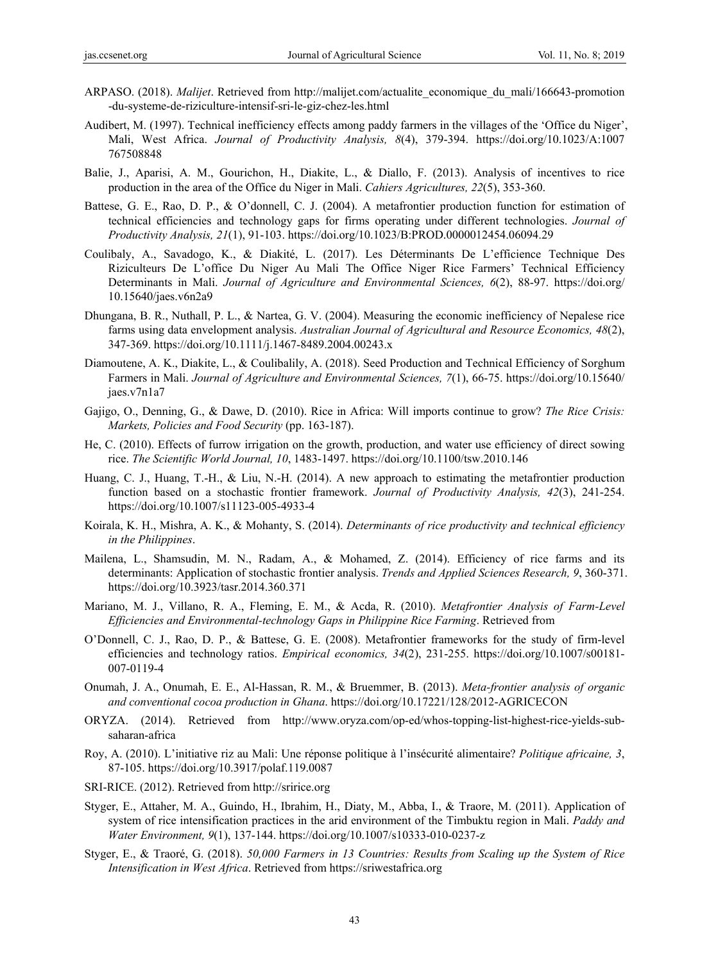- ARPASO. (2018). *Malijet*. Retrieved from http://malijet.com/actualite\_economique\_du\_mali/166643-promotion -du-systeme-de-riziculture-intensif-sri-le-giz-chez-les.html
- Audibert, M. (1997). Technical inefficiency effects among paddy farmers in the villages of the 'Office du Niger', Mali, West Africa. *Journal of Productivity Analysis, 8*(4), 379-394. https://doi.org/10.1023/A:1007 767508848
- Balie, J., Aparisi, A. M., Gourichon, H., Diakite, L., & Diallo, F. (2013). Analysis of incentives to rice production in the area of the Office du Niger in Mali. *Cahiers Agricultures, 22*(5), 353-360.
- Battese, G. E., Rao, D. P., & O'donnell, C. J. (2004). A metafrontier production function for estimation of technical efficiencies and technology gaps for firms operating under different technologies. *Journal of Productivity Analysis, 21*(1), 91-103. https://doi.org/10.1023/B:PROD.0000012454.06094.29
- Coulibaly, A., Savadogo, K., & Diakité, L. (2017). Les Déterminants De L'efficience Technique Des Riziculteurs De L'office Du Niger Au Mali The Office Niger Rice Farmers' Technical Efficiency Determinants in Mali. *Journal of Agriculture and Environmental Sciences, 6*(2), 88-97. https://doi.org/ 10.15640/jaes.v6n2a9
- Dhungana, B. R., Nuthall, P. L., & Nartea, G. V. (2004). Measuring the economic inefficiency of Nepalese rice farms using data envelopment analysis. *Australian Journal of Agricultural and Resource Economics, 48*(2), 347-369. https://doi.org/10.1111/j.1467-8489.2004.00243.x
- Diamoutene, A. K., Diakite, L., & Coulibalily, A. (2018). Seed Production and Technical Efficiency of Sorghum Farmers in Mali. *Journal of Agriculture and Environmental Sciences, 7*(1), 66-75. https://doi.org/10.15640/ jaes.v7n1a7
- Gajigo, O., Denning, G., & Dawe, D. (2010). Rice in Africa: Will imports continue to grow? *The Rice Crisis: Markets, Policies and Food Security* (pp. 163-187).
- He, C. (2010). Effects of furrow irrigation on the growth, production, and water use efficiency of direct sowing rice. *The Scientific World Journal, 10*, 1483-1497. https://doi.org/10.1100/tsw.2010.146
- Huang, C. J., Huang, T.-H., & Liu, N.-H. (2014). A new approach to estimating the metafrontier production function based on a stochastic frontier framework. *Journal of Productivity Analysis, 42*(3), 241-254. https://doi.org/10.1007/s11123-005-4933-4
- Koirala, K. H., Mishra, A. K., & Mohanty, S. (2014). *Determinants of rice productivity and technical efficiency in the Philippines*.
- Mailena, L., Shamsudin, M. N., Radam, A., & Mohamed, Z. (2014). Efficiency of rice farms and its determinants: Application of stochastic frontier analysis. *Trends and Applied Sciences Research, 9*, 360-371. https://doi.org/10.3923/tasr.2014.360.371
- Mariano, M. J., Villano, R. A., Fleming, E. M., & Acda, R. (2010). *Metafrontier Analysis of Farm-Level Efficiencies and Environmental-technology Gaps in Philippine Rice Farming*. Retrieved from
- O'Donnell, C. J., Rao, D. P., & Battese, G. E. (2008). Metafrontier frameworks for the study of firm-level efficiencies and technology ratios. *Empirical economics, 34*(2), 231-255. https://doi.org/10.1007/s00181- 007-0119-4
- Onumah, J. A., Onumah, E. E., Al-Hassan, R. M., & Bruemmer, B. (2013). *Meta-frontier analysis of organic and conventional cocoa production in Ghana*. https://doi.org/10.17221/128/2012-AGRICECON
- ORYZA. (2014). Retrieved from http://www.oryza.com/op-ed/whos-topping-list-highest-rice-yields-subsaharan-africa
- Roy, A. (2010). L'initiative riz au Mali: Une réponse politique à l'insécurité alimentaire? *Politique africaine, 3*, 87-105. https://doi.org/10.3917/polaf.119.0087
- SRI-RICE. (2012). Retrieved from http://sririce.org
- Styger, E., Attaher, M. A., Guindo, H., Ibrahim, H., Diaty, M., Abba, I., & Traore, M. (2011). Application of system of rice intensification practices in the arid environment of the Timbuktu region in Mali. *Paddy and Water Environment, 9*(1), 137-144. https://doi.org/10.1007/s10333-010-0237-z
- Styger, E., & Traoré, G. (2018). *50,000 Farmers in 13 Countries: Results from Scaling up the System of Rice Intensification in West Africa*. Retrieved from https://sriwestafrica.org